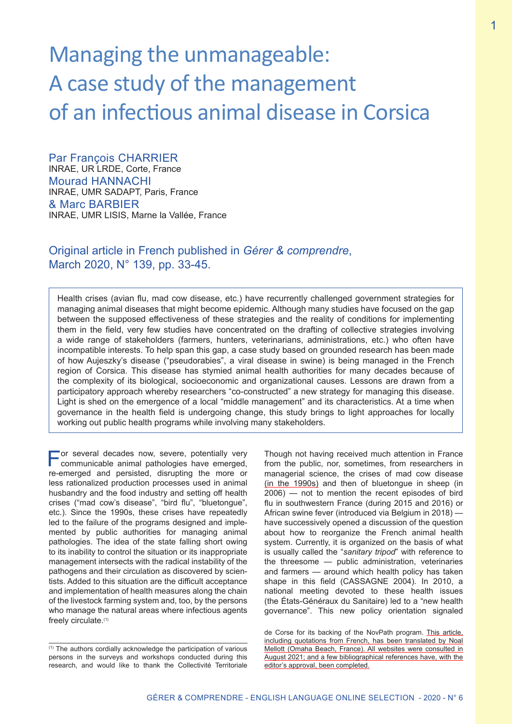# Managing the unmanageable: A case study of the management of an infectious animal disease in Corsica

Par François CHARRIER INRAE, UR LRDE, Corte, France Mourad HANNACHI INRAE, UMR SADAPT, Paris, France & Marc BARBIER INRAE, UMR LISIS, Marne la Vallée, France

# Original article in French published in *Gérer & comprendre*, March 2020, N° 139, pp. 33-45.

Health crises (avian flu, mad cow disease, etc.) have recurrently challenged government strategies for managing animal diseases that might become epidemic. Although many studies have focused on the gap between the supposed effectiveness of these strategies and the reality of conditions for implementing them in the field, very few studies have concentrated on the drafting of collective strategies involving a wide range of stakeholders (farmers, hunters, veterinarians, administrations, etc.) who often have incompatible interests. To help span this gap, a case study based on grounded research has been made of how Aujeszky's disease ("pseudorabies", a viral disease in swine) is being managed in the French region of Corsica. This disease has stymied animal health authorities for many decades because of the complexity of its biological, socioeconomic and organizational causes. Lessons are drawn from a participatory approach whereby researchers "co-constructed" a new strategy for managing this disease. Light is shed on the emergence of a local "middle management" and its characteristics. At a time when governance in the health field is undergoing change, this study brings to light approaches for locally working out public health programs while involving many stakeholders.

For several decades now, severe, potentially very communicable animal pathologies have emerged, re-emerged and persisted, disrupting the more or less rationalized production processes used in animal husbandry and the food industry and setting off health crises ("mad cow's disease", "bird flu", "bluetongue", etc.). Since the 1990s, these crises have repeatedly led to the failure of the programs designed and implemented by public authorities for managing animal pathologies. The idea of the state falling short owing to its inability to control the situation or its inappropriate management intersects with the radical instability of the pathogens and their circulation as discovered by scientists. Added to this situation are the difficult acceptance and implementation of health measures along the chain of the livestock farming system and, too, by the persons who manage the natural areas where infectious agents freely circulate.(1)

Though not having received much attention in France from the public, nor, sometimes, from researchers in managerial science, the crises of mad cow disease (in the 1990s) and then of bluetongue in sheep (in 2006) — not to mention the recent episodes of bird flu in southwestern France (during 2015 and 2016) or African swine fever (introduced via Belgium in 2018) have successively opened a discussion of the question about how to reorganize the French animal health system. Currently, it is organized on the basis of what is usually called the "*sanitary tripod*" with reference to the threesome — public administration, veterinaries and farmers — around which health policy has taken shape in this field (CASSAGNE 2004). In 2010, a national meeting devoted to these health issues (the États-Généraux du Sanitaire) led to a "new health governance". This new policy orientation signaled

<sup>(1)</sup> The authors cordially acknowledge the participation of various persons in the surveys and workshops conducted during this research, and would like to thank the Collectivité Territoriale

de Corse for its backing of the NovPath program. This article, including quotations from French, has been translated by Noal Mellott (Omaha Beach, France). All websites were consulted in August 2021; and a few bibliographical references have, with the editor's approval, been completed.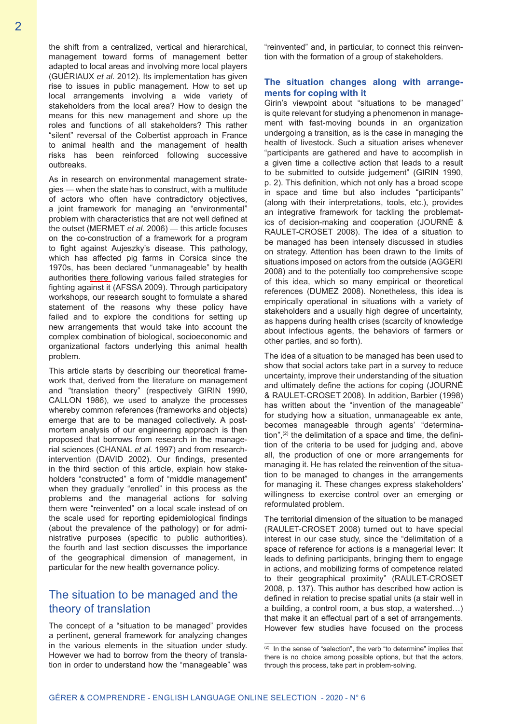the shift from a centralized, vertical and hierarchical, management toward forms of management better adapted to local areas and involving more local players (GUÉRIAUX *et al*. 2012). Its implementation has given rise to issues in public management. How to set up local arrangements involving a wide variety of stakeholders from the local area? How to design the means for this new management and shore up the roles and functions of all stakeholders? This rather "silent" reversal of the Colbertist approach in France to animal health and the management of health risks has been reinforced following successive outbreaks.

As in research on environmental management strategies — when the state has to construct, with a multitude of actors who often have contradictory objectives, a joint framework for managing an "environmental" problem with characteristics that are not well defined at the outset (MERMET *et al.* 2006) — this article focuses on the co-construction of a framework for a program to fight against Aujeszky's disease. This pathology, which has affected pig farms in Corsica since the 1970s, has been declared "unmanageable" by health authorities there following various failed strategies for fighting against it (AFSSA 2009). Through participatory workshops, our research sought to formulate a shared statement of the reasons why these policy have failed and to explore the conditions for setting up new arrangements that would take into account the complex combination of biological, socioeconomic and organizational factors underlying this animal health problem.

This article starts by describing our theoretical framework that, derived from the literature on management and "translation theory" (respectively GIRIN 1990, CALLON 1986), we used to analyze the processes whereby common references (frameworks and objects) emerge that are to be managed collectively. A postmortem analysis of our engineering approach is then proposed that borrows from research in the managerial sciences (CHANAL *et al.* 1997) and from researchintervention (DAVID 2002). Our findings, presented in the third section of this article, explain how stakeholders "constructed" a form of "middle management" when they gradually "enrolled" in this process as the problems and the managerial actions for solving them were "reinvented" on a local scale instead of on the scale used for reporting epidemiological findings (about the prevalence of the pathology) or for administrative purposes (specific to public authorities). the fourth and last section discusses the importance of the geographical dimension of management, in particular for the new health governance policy.

## The situation to be managed and the theory of translation

The concept of a "situation to be managed" provides a pertinent, general framework for analyzing changes in the various elements in the situation under study. However we had to borrow from the theory of translation in order to understand how the "manageable" was

"reinvented" and, in particular, to connect this reinvention with the formation of a group of stakeholders.

## **The situation changes along with arrangements for coping with it**

Girin's viewpoint about "situations to be managed" is quite relevant for studying a phenomenon in management with fast-moving bounds in an organization undergoing a transition, as is the case in managing the health of livestock. Such a situation arises whenever "participants are gathered and have to accomplish in a given time a collective action that leads to a result to be submitted to outside judgement" (GIRIN 1990, p. 2). This definition, which not only has a broad scope in space and time but also includes "participants" (along with their interpretations, tools, etc.), provides an integrative framework for tackling the problematics of decision-making and cooperation (JOURNÉ & RAULET-CROSET 2008). The idea of a situation to be managed has been intensely discussed in studies on strategy. Attention has been drawn to the limits of situations imposed on actors from the outside (AGGERI 2008) and to the potentially too comprehensive scope of this idea, which so many empirical or theoretical references (DUMEZ 2008). Nonetheless, this idea is empirically operational in situations with a variety of stakeholders and a usually high degree of uncertainty, as happens during health crises (scarcity of knowledge about infectious agents, the behaviors of farmers or other parties, and so forth).

The idea of a situation to be managed has been used to show that social actors take part in a survey to reduce uncertainty, improve their understanding of the situation and ultimately define the actions for coping (JOURNÉ & RAULET-CROSET 2008). In addition, Barbier (1998) has written about the "invention of the manageable" for studying how a situation, unmanageable ex ante, becomes manageable through agents' "determination", $(2)$  the delimitation of a space and time, the definition of the criteria to be used for judging and, above all, the production of one or more arrangements for managing it. He has related the reinvention of the situation to be managed to changes in the arrangements for managing it. These changes express stakeholders' willingness to exercise control over an emerging or reformulated problem.

The territorial dimension of the situation to be managed (RAULET-CROSET 2008) turned out to have special interest in our case study, since the "delimitation of a space of reference for actions is a managerial lever: It leads to defining participants, bringing them to engage in actions, and mobilizing forms of competence related to their geographical proximity" (RAULET-CROSET 2008, p. 137). This author has described how action is defined in relation to precise spatial units (a stair well in a building, a control room, a bus stop, a watershed…) that make it an effectual part of a set of arrangements. However few studies have focused on the process

 $(2)$  In the sense of "selection", the verb "to determine" implies that there is no choice among possible options, but that the actors, through this process, take part in problem-solving.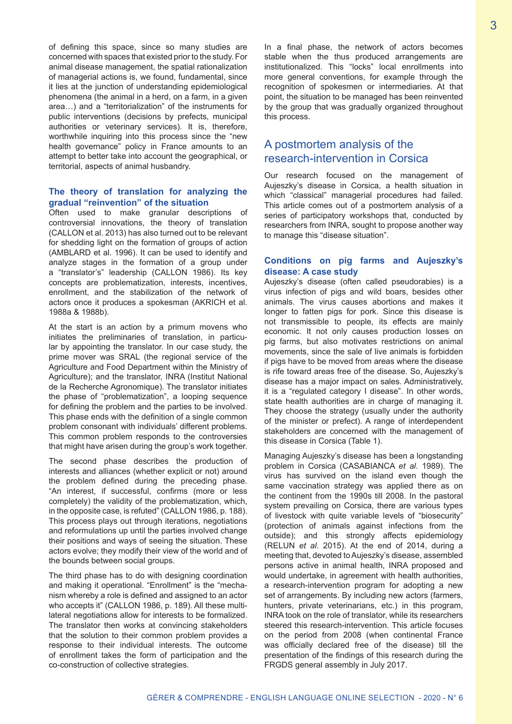of defining this space, since so many studies are concerned with spaces that existed prior to the study. For animal disease management, the spatial rationalization of managerial actions is, we found, fundamental, since it lies at the junction of understanding epidemiological phenomena (the animal in a herd, on a farm, in a given area…) and a "territorialization" of the instruments for public interventions (decisions by prefects, municipal authorities or veterinary services). It is, therefore, worthwhile inquiring into this process since the "new health governance" policy in France amounts to an attempt to better take into account the geographical, or territorial, aspects of animal husbandry.

#### **The theory of translation for analyzing the gradual "reinvention" of the situation**

Often used to make granular descriptions of controversial innovations, the theory of translation (CALLON et al. 2013) has also turned out to be relevant for shedding light on the formation of groups of action (AMBLARD et al. 1996). It can be used to identify and analyze stages in the formation of a group under a "translator's" leadership (CALLON 1986). Its key concepts are problematization, interests, incentives, enrollment, and the stabilization of the network of actors once it produces a spokesman (AKRICH et al. 1988a & 1988b).

At the start is an action by a primum movens who initiates the preliminaries of translation, in particular by appointing the translator. In our case study, the prime mover was SRAL (the regional service of the Agriculture and Food Department within the Ministry of Agriculture); and the translator, INRA (Institut National de la Recherche Agronomique). The translator initiates the phase of "problematization", a looping sequence for defining the problem and the parties to be involved. This phase ends with the definition of a single common problem consonant with individuals' different problems. This common problem responds to the controversies that might have arisen during the group's work together.

The second phase describes the production of interests and alliances (whether explicit or not) around the problem defined during the preceding phase. "An interest, if successful, confirms (more or less completely) the validity of the problematization, which, in the opposite case, is refuted" (CALLON 1986, p. 188). This process plays out through iterations, negotiations and reformulations up until the parties involved change their positions and ways of seeing the situation. These actors evolve; they modify their view of the world and of the bounds between social groups.

The third phase has to do with designing coordination and making it operational. "Enrollment" is the "mechanism whereby a role is defined and assigned to an actor who accepts it" (CALLON 1986, p. 189). All these multilateral negotiations allow for interests to be formalized. The translator then works at convincing stakeholders that the solution to their common problem provides a response to their individual interests. The outcome of enrollment takes the form of participation and the co-construction of collective strategies.

In a final phase, the network of actors becomes stable when the thus produced arrangements are institutionalized. This "locks" local enrollments into more general conventions, for example through the recognition of spokesmen or intermediaries. At that point, the situation to be managed has been reinvented by the group that was gradually organized throughout this process.

# A postmortem analysis of the research-intervention in Corsica

Our research focused on the management of Aujeszky's disease in Corsica, a health situation in which "classical" managerial procedures had failed. This article comes out of a postmortem analysis of a series of participatory workshops that, conducted by researchers from INRA, sought to propose another way to manage this "disease situation".

## **Conditions on pig farms and Aujeszky's disease: A case study**

Aujeszky's disease (often called pseudorabies) is a virus infection of pigs and wild boars, besides other animals. The virus causes abortions and makes it longer to fatten pigs for pork. Since this disease is not transmissible to people, its effects are mainly economic. It not only causes production losses on pig farms, but also motivates restrictions on animal movements, since the sale of live animals is forbidden if pigs have to be moved from areas where the disease is rife toward areas free of the disease. So, Aujeszky's disease has a major impact on sales. Administratively, it is a "regulated category I disease". In other words, state health authorities are in charge of managing it. They choose the strategy (usually under the authority of the minister or prefect). A range of interdependent stakeholders are concerned with the management of this disease in Corsica (Table 1).

Managing Aujeszky's disease has been a longstanding problem in Corsica (CASABIANCA *et al*. 1989). The virus has survived on the island even though the same vaccination strategy was applied there as on the continent from the 1990s till 2008. In the pastoral system prevailing on Corsica, there are various types of livestock with quite variable levels of "biosecurity" (protection of animals against infections from the outside); and this strongly affects epidemiology (RELUN *et al*. 2015). At the end of 2014, during a meeting that, devoted to Aujeszky's disease, assembled persons active in animal health, INRA proposed and would undertake, in agreement with health authorities, a research-intervention program for adopting a new set of arrangements. By including new actors (farmers, hunters, private veterinarians, etc.) in this program, INRA took on the role of translator, while its researchers steered this research-intervention. This article focuses on the period from 2008 (when continental France was officially declared free of the disease) till the presentation of the findings of this research during the FRGDS general assembly in July 2017.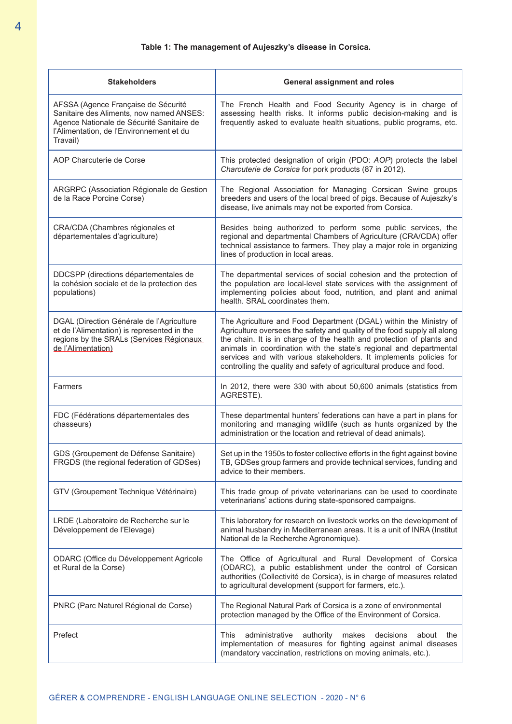## **Table 1: The management of Aujeszky's disease in Corsica.**

| <b>Stakeholders</b>                                                                                                                                                                  | <b>General assignment and roles</b>                                                                                                                                                                                                                                                                                                                                                                                                        |
|--------------------------------------------------------------------------------------------------------------------------------------------------------------------------------------|--------------------------------------------------------------------------------------------------------------------------------------------------------------------------------------------------------------------------------------------------------------------------------------------------------------------------------------------------------------------------------------------------------------------------------------------|
| AFSSA (Agence Française de Sécurité<br>Sanitaire des Aliments, now named ANSES:<br>Agence Nationale de Sécurité Sanitaire de<br>l'Alimentation, de l'Environnement et du<br>Travail) | The French Health and Food Security Agency is in charge of<br>assessing health risks. It informs public decision-making and is<br>frequently asked to evaluate health situations, public programs, etc.                                                                                                                                                                                                                                    |
| AOP Charcuterie de Corse                                                                                                                                                             | This protected designation of origin (PDO: AOP) protects the label<br>Charcuterie de Corsica for pork products (87 in 2012).                                                                                                                                                                                                                                                                                                               |
| ARGRPC (Association Régionale de Gestion<br>de la Race Porcine Corse)                                                                                                                | The Regional Association for Managing Corsican Swine groups<br>breeders and users of the local breed of pigs. Because of Aujeszky's<br>disease, live animals may not be exported from Corsica.                                                                                                                                                                                                                                             |
| CRA/CDA (Chambres régionales et<br>départementales d'agriculture)                                                                                                                    | Besides being authorized to perform some public services, the<br>regional and departmental Chambers of Agriculture (CRA/CDA) offer<br>technical assistance to farmers. They play a major role in organizing<br>lines of production in local areas.                                                                                                                                                                                         |
| DDCSPP (directions départementales de<br>la cohésion sociale et de la protection des<br>populations)                                                                                 | The departmental services of social cohesion and the protection of<br>the population are local-level state services with the assignment of<br>implementing policies about food, nutrition, and plant and animal<br>health. SRAL coordinates them.                                                                                                                                                                                          |
| DGAL (Direction Générale de l'Agriculture<br>et de l'Alimentation) is represented in the<br>regions by the SRALs (Services Régionaux<br>de l'Alimentation)                           | The Agriculture and Food Department (DGAL) within the Ministry of<br>Agriculture oversees the safety and quality of the food supply all along<br>the chain. It is in charge of the health and protection of plants and<br>animals in coordination with the state's regional and departmental<br>services and with various stakeholders. It implements policies for<br>controlling the quality and safety of agricultural produce and food. |
| Farmers                                                                                                                                                                              | In 2012, there were 330 with about 50,600 animals (statistics from<br>AGRESTE).                                                                                                                                                                                                                                                                                                                                                            |
| FDC (Fédérations départementales des<br>chasseurs)                                                                                                                                   | These departmental hunters' federations can have a part in plans for<br>monitoring and managing wildlife (such as hunts organized by the<br>administration or the location and retrieval of dead animals).                                                                                                                                                                                                                                 |
| GDS (Groupement de Défense Sanitaire)<br>FRGDS (the regional federation of GDSes)                                                                                                    | Set up in the 1950s to foster collective efforts in the fight against bovine<br>TB, GDSes group farmers and provide technical services, funding and<br>advice to their members.                                                                                                                                                                                                                                                            |
| GTV (Groupement Technique Vétérinaire)                                                                                                                                               | This trade group of private veterinarians can be used to coordinate<br>veterinarians' actions during state-sponsored campaigns.                                                                                                                                                                                                                                                                                                            |
| LRDE (Laboratoire de Recherche sur le<br>Développement de l'Elevage)                                                                                                                 | This laboratory for research on livestock works on the development of<br>animal husbandry in Mediterranean areas. It is a unit of INRA (Institut<br>National de la Recherche Agronomique).                                                                                                                                                                                                                                                 |
| ODARC (Office du Développement Agricole<br>et Rural de la Corse)                                                                                                                     | The Office of Agricultural and Rural Development of Corsica<br>(ODARC), a public establishment under the control of Corsican<br>authorities (Collectivité de Corsica), is in charge of measures related<br>to agricultural development (support for farmers, etc.).                                                                                                                                                                        |
| PNRC (Parc Naturel Régional de Corse)                                                                                                                                                | The Regional Natural Park of Corsica is a zone of environmental<br>protection managed by the Office of the Environment of Corsica.                                                                                                                                                                                                                                                                                                         |
| Prefect                                                                                                                                                                              | administrative<br>decisions<br>This<br>authority makes<br>about<br>the<br>implementation of measures for fighting against animal diseases<br>(mandatory vaccination, restrictions on moving animals, etc.).                                                                                                                                                                                                                                |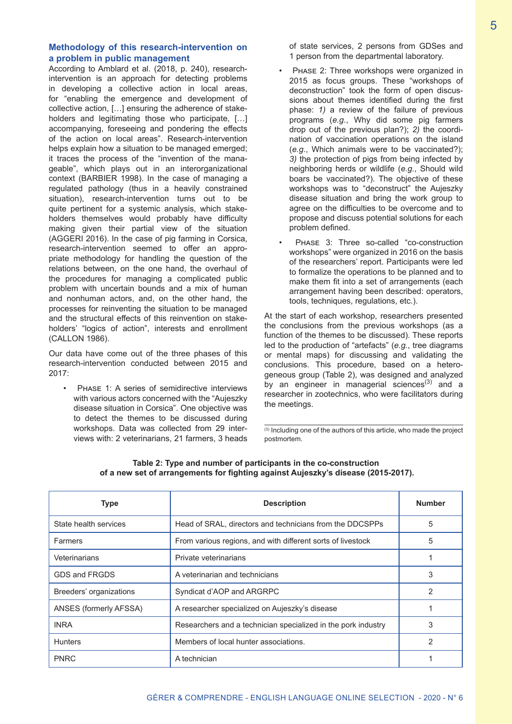## **Methodology of this research-intervention on a problem in public management**

According to Amblard et al. (2018, p. 240), researchintervention is an approach for detecting problems in developing a collective action in local areas, for "enabling the emergence and development of collective action, […] ensuring the adherence of stakeholders and legitimating those who participate, [...] accompanying, foreseeing and pondering the effects of the action on local areas". Research-intervention helps explain how a situation to be managed emerged; it traces the process of the "invention of the manageable", which plays out in an interorganizational context (BARBIER 1998). In the case of managing a regulated pathology (thus in a heavily constrained situation), research-intervention turns out to be quite pertinent for a systemic analysis, which stakeholders themselves would probably have difficulty making given their partial view of the situation (AGGERI 2016). In the case of pig farming in Corsica, research-intervention seemed to offer an appropriate methodology for handling the question of the relations between, on the one hand, the overhaul of the procedures for managing a complicated public problem with uncertain bounds and a mix of human and nonhuman actors, and, on the other hand, the processes for reinventing the situation to be managed and the structural effects of this reinvention on stakeholders' "logics of action", interests and enrollment (CALLON 1986).

Our data have come out of the three phases of this research-intervention conducted between 2015 and 2017:

PHASE 1: A series of semidirective interviews with various actors concerned with the "Aujeszky disease situation in Corsica". One objective was to detect the themes to be discussed during workshops. Data was collected from 29 interviews with: 2 veterinarians, 21 farmers, 3 heads

of state services, 2 persons from GDSes and 1 person from the departmental laboratory.

- Phase 2: Three workshops were organized in 2015 as focus groups. These "workshops of deconstruction" took the form of open discussions about themes identified during the first phase: *1)* a review of the failure of previous programs (*e.g.*, Why did some pig farmers drop out of the previous plan?); *2)* the coordination of vaccination operations on the island (*e.g.*, Which animals were to be vaccinated?); *3)* the protection of pigs from being infected by neighboring herds or wildlife (*e.g.*, Should wild boars be vaccinated?). The objective of these workshops was to "deconstruct" the Aujeszky disease situation and bring the work group to agree on the difficulties to be overcome and to propose and discuss potential solutions for each problem defined.
- PHASE 3: Three so-called "co-construction workshops" were organized in 2016 on the basis of the researchers' report. Participants were led to formalize the operations to be planned and to make them fit into a set of arrangements (each arrangement having been described: operators, tools, techniques, regulations, etc.).

At the start of each workshop, researchers presented the conclusions from the previous workshops (as a function of the themes to be discussed). These reports led to the production of "artefacts" (*e.g.*, tree diagrams or mental maps) for discussing and validating the conclusions. This procedure, based on a heterogeneous group (Table 2), was designed and analyzed by an engineer in managerial sciences<sup>(3)</sup> and a researcher in zootechnics, who were facilitators during the meetings.

(3) Including one of the authors of this article, who made the project postmortem.

| <b>Type</b>             | <b>Description</b>                                            | <b>Number</b> |
|-------------------------|---------------------------------------------------------------|---------------|
| State health services   | Head of SRAL, directors and technicians from the DDCSPPs      | 5             |
| <b>Farmers</b>          | From various regions, and with different sorts of livestock   | 5             |
| Veterinarians           | Private veterinarians                                         |               |
| GDS and FRGDS           | A veterinarian and technicians                                | 3             |
| Breeders' organizations | Syndicat d'AOP and ARGRPC                                     | 2             |
| ANSES (formerly AFSSA)  | A researcher specialized on Aujeszky's disease                |               |
| <b>INRA</b>             | Researchers and a technician specialized in the pork industry | 3             |
| <b>Hunters</b>          | Members of local hunter associations.                         | 2             |
| <b>PNRC</b>             | A technician                                                  |               |

#### **Table 2: Type and number of participants in the co-construction of a new set of arrangements for fighting against Aujeszky's disease (2015-2017).**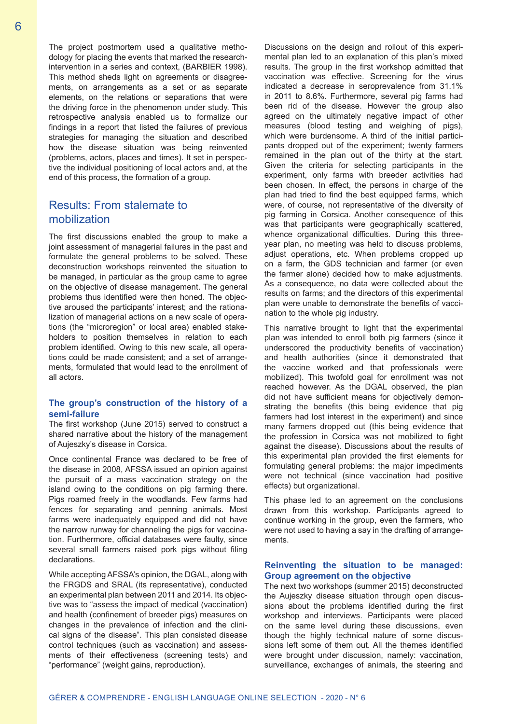The project postmortem used a qualitative methodology for placing the events that marked the researchintervention in a series and context, (BARBIER 1998). This method sheds light on agreements or disagreements, on arrangements as a set or as separate elements, on the relations or separations that were the driving force in the phenomenon under study. This retrospective analysis enabled us to formalize our findings in a report that listed the failures of previous strategies for managing the situation and described how the disease situation was being reinvented (problems, actors, places and times). It set in perspective the individual positioning of local actors and, at the end of this process, the formation of a group.

# Results: From stalemate to mobilization

The first discussions enabled the group to make a joint assessment of managerial failures in the past and formulate the general problems to be solved. These deconstruction workshops reinvented the situation to be managed, in particular as the group came to agree on the objective of disease management. The general problems thus identified were then honed. The objective aroused the participants' interest; and the rationalization of managerial actions on a new scale of operations (the "microregion" or local area) enabled stakeholders to position themselves in relation to each problem identified. Owing to this new scale, all operations could be made consistent; and a set of arrangements, formulated that would lead to the enrollment of all actors.

#### **The group's construction of the history of a semi-failure**

The first workshop (June 2015) served to construct a shared narrative about the history of the management of Aujeszky's disease in Corsica.

Once continental France was declared to be free of the disease in 2008, AFSSA issued an opinion against the pursuit of a mass vaccination strategy on the island owing to the conditions on pig farming there. Pigs roamed freely in the woodlands. Few farms had fences for separating and penning animals. Most farms were inadequately equipped and did not have the narrow runway for channeling the pigs for vaccination. Furthermore, official databases were faulty, since several small farmers raised pork pigs without filing declarations.

While accepting AFSSA's opinion, the DGAL, along with the FRGDS and SRAL (its representative), conducted an experimental plan between 2011 and 2014. Its objective was to "assess the impact of medical (vaccination) and health (confinement of breeder pigs) measures on changes in the prevalence of infection and the clinical signs of the disease". This plan consisted disease control techniques (such as vaccination) and assessments of their effectiveness (screening tests) and "performance" (weight gains, reproduction).

Discussions on the design and rollout of this experimental plan led to an explanation of this plan's mixed results. The group in the first workshop admitted that vaccination was effective. Screening for the virus indicated a decrease in seroprevalence from 31.1% in 2011 to 8.6%. Furthermore, several pig farms had been rid of the disease. However the group also agreed on the ultimately negative impact of other measures (blood testing and weighing of pigs), which were burdensome. A third of the initial participants dropped out of the experiment; twenty farmers remained in the plan out of the thirty at the start. Given the criteria for selecting participants in the experiment, only farms with breeder activities had been chosen. In effect, the persons in charge of the plan had tried to find the best equipped farms, which were, of course, not representative of the diversity of pig farming in Corsica. Another consequence of this was that participants were geographically scattered, whence organizational difficulties. During this threeyear plan, no meeting was held to discuss problems, adjust operations, etc. When problems cropped up on a farm, the GDS technician and farmer (or even the farmer alone) decided how to make adjustments. As a consequence, no data were collected about the results on farms; and the directors of this experimental plan were unable to demonstrate the benefits of vaccination to the whole pig industry.

This narrative brought to light that the experimental plan was intended to enroll both pig farmers (since it underscored the productivity benefits of vaccination) and health authorities (since it demonstrated that the vaccine worked and that professionals were mobilized). This twofold goal for enrollment was not reached however. As the DGAL observed, the plan did not have sufficient means for objectively demonstrating the benefits (this being evidence that pig farmers had lost interest in the experiment) and since many farmers dropped out (this being evidence that the profession in Corsica was not mobilized to fight against the disease). Discussions about the results of this experimental plan provided the first elements for formulating general problems: the major impediments were not technical (since vaccination had positive effects) but organizational.

This phase led to an agreement on the conclusions drawn from this workshop. Participants agreed to continue working in the group, even the farmers, who were not used to having a say in the drafting of arrangements.

#### **Reinventing the situation to be managed: Group agreement on the objective**

The next two workshops (summer 2015) deconstructed the Aujeszky disease situation through open discussions about the problems identified during the first workshop and interviews. Participants were placed on the same level during these discussions, even though the highly technical nature of some discussions left some of them out. All the themes identified were brought under discussion, namely: vaccination, surveillance, exchanges of animals, the steering and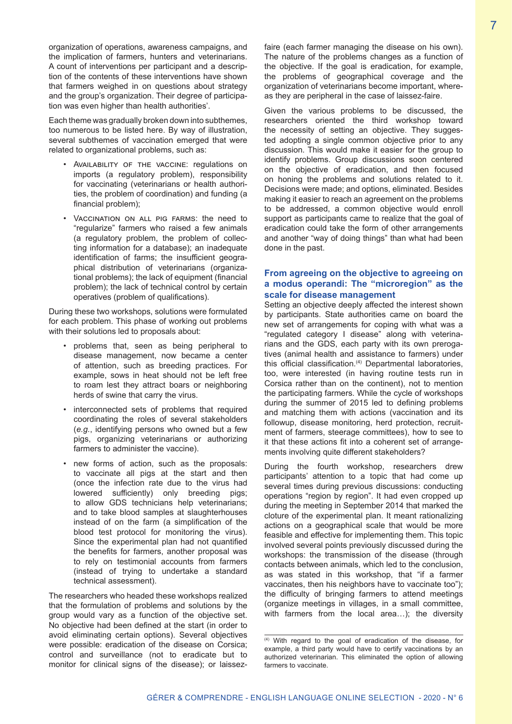organization of operations, awareness campaigns, and the implication of farmers, hunters and veterinarians. A count of interventions per participant and a description of the contents of these interventions have shown that farmers weighed in on questions about strategy and the group's organization. Their degree of participation was even higher than health authorities'.

Each theme was gradually broken down into subthemes, too numerous to be listed here. By way of illustration, several subthemes of vaccination emerged that were related to organizational problems, such as:

- Availability of the vaccine: regulations on imports (a regulatory problem), responsibility for vaccinating (veterinarians or health authorities, the problem of coordination) and funding (a financial problem);
- Vaccination on all pig farms: the need to "regularize" farmers who raised a few animals (a regulatory problem, the problem of collecting information for a database); an inadequate identification of farms; the insufficient geographical distribution of veterinarians (organizational problems); the lack of equipment (financial problem); the lack of technical control by certain operatives (problem of qualifications).

During these two workshops, solutions were formulated for each problem. This phase of working out problems with their solutions led to proposals about:

- problems that, seen as being peripheral to disease management, now became a center of attention, such as breeding practices. For example, sows in heat should not be left free to roam lest they attract boars or neighboring herds of swine that carry the virus.
- interconnected sets of problems that required coordinating the roles of several stakeholders (*e.g.*, identifying persons who owned but a few pigs, organizing veterinarians or authorizing farmers to administer the vaccine).
- new forms of action, such as the proposals: to vaccinate all pigs at the start and then (once the infection rate due to the virus had lowered sufficiently) only breeding pigs; to allow GDS technicians help veterinarians; and to take blood samples at slaughterhouses instead of on the farm (a simplification of the blood test protocol for monitoring the virus). Since the experimental plan had not quantified the benefits for farmers, another proposal was to rely on testimonial accounts from farmers (instead of trying to undertake a standard technical assessment).

The researchers who headed these workshops realized that the formulation of problems and solutions by the group would vary as a function of the objective set. No objective had been defined at the start (in order to avoid eliminating certain options). Several objectives were possible: eradication of the disease on Corsica; control and surveillance (not to eradicate but to monitor for clinical signs of the disease); or laissezfaire (each farmer managing the disease on his own). The nature of the problems changes as a function of the objective. If the goal is eradication, for example, the problems of geographical coverage and the organization of veterinarians become important, whereas they are peripheral in the case of laissez-faire.

Given the various problems to be discussed, the researchers oriented the third workshop toward the necessity of setting an objective. They suggested adopting a single common objective prior to any discussion. This would make it easier for the group to identify problems. Group discussions soon centered on the objective of eradication, and then focused on honing the problems and solutions related to it. Decisions were made; and options, eliminated. Besides making it easier to reach an agreement on the problems to be addressed, a common objective would enroll support as participants came to realize that the goal of eradication could take the form of other arrangements and another "way of doing things" than what had been done in the past.

### **From agreeing on the objective to agreeing on a modus operandi: The "microregion" as the scale for disease management**

Setting an objective deeply affected the interest shown by participants. State authorities came on board the new set of arrangements for coping with what was a "regulated category I disease" along with veterinarians and the GDS, each party with its own prerogatives (animal health and assistance to farmers) under this official classification.<sup>(4)</sup> Departmental laboratories, too, were interested (in having routine tests run in Corsica rather than on the continent), not to mention the participating farmers. While the cycle of workshops during the summer of 2015 led to defining problems and matching them with actions (vaccination and its followup, disease monitoring, herd protection, recruitment of farmers, steerage committees), how to see to it that these actions fit into a coherent set of arrangements involving quite different stakeholders?

During the fourth workshop, researchers drew participants' attention to a topic that had come up several times during previous discussions: conducting operations "region by region". It had even cropped up during the meeting in September 2014 that marked the cloture of the experimental plan. It meant rationalizing actions on a geographical scale that would be more feasible and effective for implementing them. This topic involved several points previously discussed during the workshops: the transmission of the disease (through contacts between animals, which led to the conclusion, as was stated in this workshop, that "if a farmer vaccinates, then his neighbors have to vaccinate too"); the difficulty of bringing farmers to attend meetings (organize meetings in villages, in a small committee, with farmers from the local area…); the diversity

<sup>(4)</sup> With regard to the goal of eradication of the disease, for example, a third party would have to certify vaccinations by an authorized veterinarian. This eliminated the option of allowing farmers to vaccinate.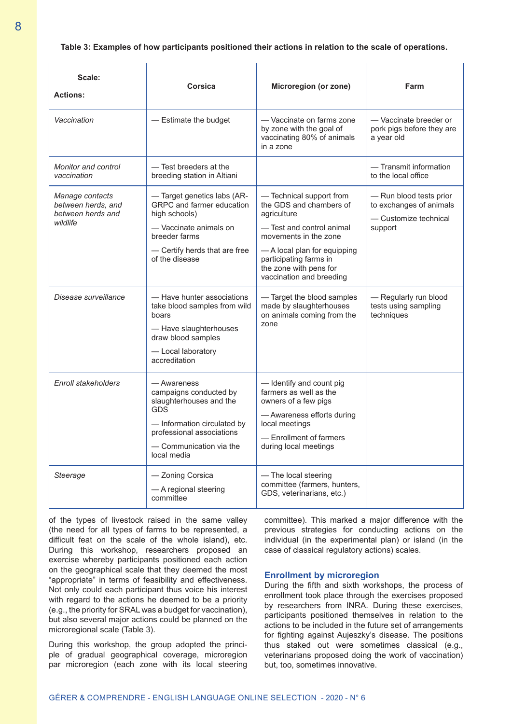#### **Table 3: Examples of how participants positioned their actions in relation to the scale of operations.**

| Scale:<br><b>Actions:</b>                                              | Corsica                                                                                                                                                                         | Microregion (or zone)                                                                                                                                                                                                                    | Farm                                                                                   |
|------------------------------------------------------------------------|---------------------------------------------------------------------------------------------------------------------------------------------------------------------------------|------------------------------------------------------------------------------------------------------------------------------------------------------------------------------------------------------------------------------------------|----------------------------------------------------------------------------------------|
| Vaccination                                                            | - Estimate the budget                                                                                                                                                           | - Vaccinate on farms zone<br>by zone with the goal of<br>vaccinating 80% of animals<br>in a zone                                                                                                                                         | - Vaccinate breeder or<br>pork pigs before they are<br>a year old                      |
| Monitor and control<br>vaccination                                     | — Test breeders at the<br>breeding station in Altiani                                                                                                                           |                                                                                                                                                                                                                                          | - Transmit information<br>to the local office                                          |
| Manage contacts<br>between herds, and<br>between herds and<br>wildlife | - Target genetics labs (AR-<br>GRPC and farmer education<br>high schools)<br>- Vaccinate animals on<br>breeder farms<br>- Certify herds that are free<br>of the disease         | - Technical support from<br>the GDS and chambers of<br>agriculture<br>- Test and control animal<br>movements in the zone<br>- A local plan for equipping<br>participating farms in<br>the zone with pens for<br>vaccination and breeding | - Run blood tests prior<br>to exchanges of animals<br>- Customize technical<br>support |
| Disease surveillance                                                   | — Have hunter associations<br>take blood samples from wild<br>boars<br>- Have slaughterhouses<br>draw blood samples<br>-Local laboratory<br>accreditation                       | - Target the blood samples<br>made by slaughterhouses<br>on animals coming from the<br>zone                                                                                                                                              | - Regularly run blood<br>tests using sampling<br>techniques                            |
| <b>Enroll stakeholders</b>                                             | — Awareness<br>campaigns conducted by<br>slaughterhouses and the<br>GDS<br>— Information circulated by<br>professional associations<br>$-$ Communication via the<br>local media | - Identify and count pig<br>farmers as well as the<br>owners of a few pigs<br>- Awareness efforts during<br>local meetings<br>- Enrollment of farmers<br>during local meetings                                                           |                                                                                        |
| Steerage                                                               | — Zoning Corsica<br>- A regional steering<br>committee                                                                                                                          | — The local steering<br>committee (farmers, hunters,<br>GDS, veterinarians, etc.)                                                                                                                                                        |                                                                                        |

of the types of livestock raised in the same valley (the need for all types of farms to be represented, a difficult feat on the scale of the whole island), etc. During this workshop, researchers proposed an exercise whereby participants positioned each action on the geographical scale that they deemed the most "appropriate" in terms of feasibility and effectiveness. Not only could each participant thus voice his interest with regard to the actions he deemed to be a priority (e.g., the priority for SRAL was a budget for vaccination), but also several major actions could be planned on the microregional scale (Table 3).

During this workshop, the group adopted the principle of gradual geographical coverage, microregion par microregion (each zone with its local steering committee). This marked a major difference with the previous strategies for conducting actions on the individual (in the experimental plan) or island (in the case of classical regulatory actions) scales.

#### **Enrollment by microregion**

During the fifth and sixth workshops, the process of enrollment took place through the exercises proposed by researchers from INRA. During these exercises, participants positioned themselves in relation to the actions to be included in the future set of arrangements for fighting against Aujeszky's disease. The positions thus staked out were sometimes classical (e.g., veterinarians proposed doing the work of vaccination) but, too, sometimes innovative.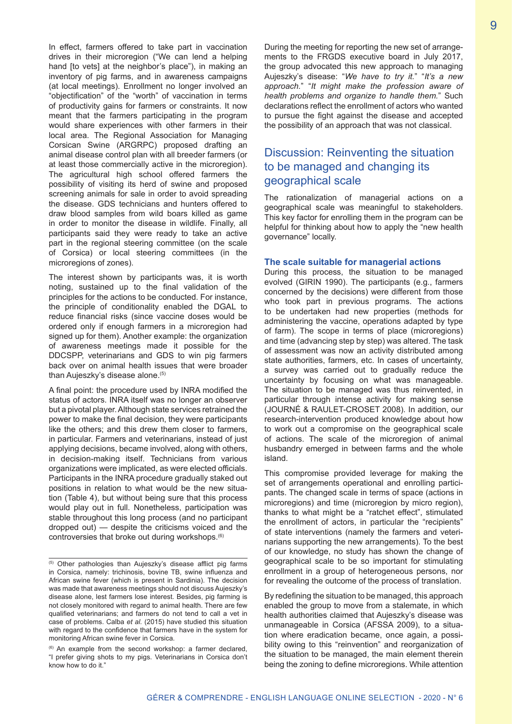In effect, farmers offered to take part in vaccination drives in their microregion ("We can lend a helping hand [to vets] at the neighbor's place"), in making an inventory of pig farms, and in awareness campaigns (at local meetings). Enrollment no longer involved an "objectification" of the "worth" of vaccination in terms of productivity gains for farmers or constraints. It now meant that the farmers participating in the program would share experiences with other farmers in their local area. The Regional Association for Managing Corsican Swine (ARGRPC) proposed drafting an animal disease control plan with all breeder farmers (or at least those commercially active in the microregion). The agricultural high school offered farmers the possibility of visiting its herd of swine and proposed screening animals for sale in order to avoid spreading the disease. GDS technicians and hunters offered to draw blood samples from wild boars killed as game in order to monitor the disease in wildlife. Finally, all participants said they were ready to take an active part in the regional steering committee (on the scale of Corsica) or local steering committees (in the microregions of zones).

The interest shown by participants was, it is worth noting, sustained up to the final validation of the principles for the actions to be conducted. For instance, the principle of conditionality enabled the DGAL to reduce financial risks (since vaccine doses would be ordered only if enough farmers in a microregion had signed up for them). Another example: the organization of awareness meetings made it possible for the DDCSPP, veterinarians and GDS to win pig farmers back over on animal health issues that were broader than Aujeszky's disease alone.(5)

A final point: the procedure used by INRA modified the status of actors. INRA itself was no longer an observer but a pivotal player. Although state services retrained the power to make the final decision, they were participants like the others; and this drew them closer to farmers, in particular. Farmers and veterinarians, instead of just applying decisions, became involved, along with others, in decision-making itself. Technicians from various organizations were implicated, as were elected officials. Participants in the INRA procedure gradually staked out positions in relation to what would be the new situation (Table 4), but without being sure that this process would play out in full. Nonetheless, participation was stable throughout this long process (and no participant dropped out) — despite the criticisms voiced and the controversies that broke out during workshops.(6)

During the meeting for reporting the new set of arrangements to the FRGDS executive board in July 2017, the group advocated this new approach to managing Aujeszky's disease: "*We have to try it.*" "*It's a new approach.*" "*It might make the profession aware of health problems and organize to handle them.*" Such declarations reflect the enrollment of actors who wanted to pursue the fight against the disease and accepted the possibility of an approach that was not classical.

# Discussion: Reinventing the situation to be managed and changing its geographical scale

The rationalization of managerial actions on a geographical scale was meaningful to stakeholders. This key factor for enrolling them in the program can be helpful for thinking about how to apply the "new health governance" locally.

## **The scale suitable for managerial actions**

During this process, the situation to be managed evolved (GIRIN 1990). The participants (e.g., farmers concerned by the decisions) were different from those who took part in previous programs. The actions to be undertaken had new properties (methods for administering the vaccine, operations adapted by type of farm). The scope in terms of place (microregions) and time (advancing step by step) was altered. The task of assessment was now an activity distributed among state authorities, farmers, etc. In cases of uncertainty, a survey was carried out to gradually reduce the uncertainty by focusing on what was manageable. The situation to be managed was thus reinvented, in particular through intense activity for making sense (JOURNÉ & RAULET-CROSET 2008). In addition, our research-intervention produced knowledge about how to work out a compromise on the geographical scale of actions. The scale of the microregion of animal husbandry emerged in between farms and the whole island.

This compromise provided leverage for making the set of arrangements operational and enrolling participants. The changed scale in terms of space (actions in microregions) and time (microregion by micro region), thanks to what might be a "ratchet effect", stimulated the enrollment of actors, in particular the "recipients" of state interventions (namely the farmers and veterinarians supporting the new arrangements). To the best of our knowledge, no study has shown the change of geographical scale to be so important for stimulating enrollment in a group of heterogeneous persons, nor for revealing the outcome of the process of translation.

By redefining the situation to be managed, this approach enabled the group to move from a stalemate, in which health authorities claimed that Aujeszky's disease was unmanageable in Corsica (AFSSA 2009), to a situation where eradication became, once again, a possibility owing to this "reinvention" and reorganization of the situation to be managed, the main element therein being the zoning to define microregions. While attention

<sup>(5)</sup> Other pathologies than Aujeszky's disease afflict pig farms in Corsica, namely: trichinosis, bovine TB, swine influenza and African swine fever (which is present in Sardinia). The decision was made that awareness meetings should not discuss Aujeszky's disease alone, lest farmers lose interest. Besides, pig farming is not closely monitored with regard to animal health. There are few qualified veterinarians; and farmers do not tend to call a vet in case of problems. Calba *et al.* (2015) have studied this situation with regard to the confidence that farmers have in the system for monitoring African swine fever in Corsica.

<sup>(6)</sup> An example from the second workshop: a farmer declared, "I prefer giving shots to my pigs. Veterinarians in Corsica don't know how to do it."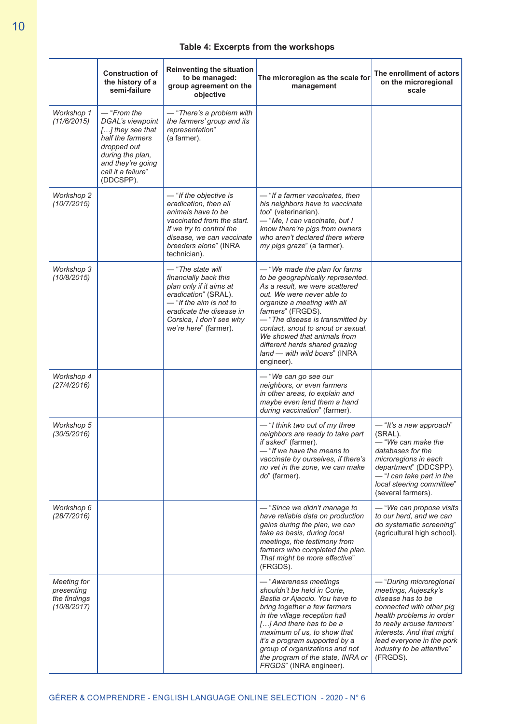# **Table 4: Excerpts from the workshops**

|                                                          | <b>Construction of</b><br>the history of a<br>semi-failure                                                                                                           | <b>Reinventing the situation</b><br>to be managed:<br>group agreement on the<br>objective                                                                                                                   | The microregion as the scale for<br>management                                                                                                                                                                                                                                                                                                                                    | The enrollment of actors<br>on the microregional<br>scale                                                                                                                                                                                                    |
|----------------------------------------------------------|----------------------------------------------------------------------------------------------------------------------------------------------------------------------|-------------------------------------------------------------------------------------------------------------------------------------------------------------------------------------------------------------|-----------------------------------------------------------------------------------------------------------------------------------------------------------------------------------------------------------------------------------------------------------------------------------------------------------------------------------------------------------------------------------|--------------------------------------------------------------------------------------------------------------------------------------------------------------------------------------------------------------------------------------------------------------|
| Workshop 1<br>(11/6/2015)                                | $-$ "From the<br>DGAL's viewpoint<br>[] they see that<br>half the farmers<br>dropped out<br>during the plan,<br>and they're going<br>call it a failure"<br>(DDCSPP). | - "There's a problem with<br>the farmers' group and its<br>representation"<br>(a farmer).                                                                                                                   |                                                                                                                                                                                                                                                                                                                                                                                   |                                                                                                                                                                                                                                                              |
| Workshop 2<br>(10/7/2015)                                |                                                                                                                                                                      | - "If the objective is<br>eradication, then all<br>animals have to be<br>vaccinated from the start.<br>If we try to control the<br>disease, we can vaccinate<br>breeders alone" (INRA<br>technician).       | - "If a farmer vaccinates, then<br>his neighbors have to vaccinate<br>too" (veterinarian).<br>- "Me, I can vaccinate, but I<br>know there're pigs from owners<br>who aren't declared there where<br>my pigs graze" (a farmer).                                                                                                                                                    |                                                                                                                                                                                                                                                              |
| Workshop 3<br>(10/8/2015)                                |                                                                                                                                                                      | - "The state will<br>financially back this<br>plan only if it aims at<br>eradication" (SRAL).<br>$-$ "If the aim is not to<br>eradicate the disease in<br>Corsica, I don't see why<br>we're here" (farmer). | - "We made the plan for farms"<br>to be geographically represented.<br>As a result, we were scattered<br>out. We were never able to<br>organize a meeting with all<br>farmers" (FRGDS).<br>- "The disease is transmitted by<br>contact, snout to snout or sexual.<br>We showed that animals from<br>different herds shared grazing<br>land - with wild boars" (INRA<br>engineer). |                                                                                                                                                                                                                                                              |
| Workshop 4<br>(27/4/2016)                                |                                                                                                                                                                      |                                                                                                                                                                                                             | - "We can go see our<br>neighbors, or even farmers<br>in other areas, to explain and<br>maybe even lend them a hand<br>during vaccination" (farmer).                                                                                                                                                                                                                              |                                                                                                                                                                                                                                                              |
| Workshop 5<br>(30/5/2016)                                |                                                                                                                                                                      |                                                                                                                                                                                                             | -"I think two out of my three<br>neighbors are ready to take part<br>if asked" (farmer).<br>- "If we have the means to<br>vaccinate by ourselves, if there's<br>no vet in the zone, we can make<br>do" (farmer).                                                                                                                                                                  | -"It's a new approach"<br>(SRAL).<br>- "We can make the<br>databases for the<br>microregions in each<br>department" (DDCSPP).<br>-"I can take part in the<br>local steering committee"<br>(several farmers).                                                 |
| Workshop 6<br>(28/7/2016)                                |                                                                                                                                                                      |                                                                                                                                                                                                             | - "Since we didn't manage to<br>have reliable data on production<br>gains during the plan, we can<br>take as basis, during local<br>meetings, the testimony from<br>farmers who completed the plan.<br>That might be more effective"<br>(FRGDS).                                                                                                                                  | - "We can propose visits<br>to our herd, and we can<br>do systematic screening"<br>(agricultural high school).                                                                                                                                               |
| Meeting for<br>presenting<br>the findings<br>(10/8/2017) |                                                                                                                                                                      |                                                                                                                                                                                                             | - "Awareness meetings<br>shouldn't be held in Corte.<br>Bastia or Ajaccio. You have to<br>bring together a few farmers<br>in the village reception hall<br>[] And there has to be a<br>maximum of us, to show that<br>it's a program supported by a<br>group of organizations and not<br>the program of the state, INRA or<br>FRGDS" (INRA engineer).                             | - "During microregional<br>meetings, Aujeszky's<br>disease has to be<br>connected with other pig<br>health problems in order<br>to really arouse farmers'<br>interests. And that might<br>lead everyone in the pork<br>industry to be attentive"<br>(FRGDS). |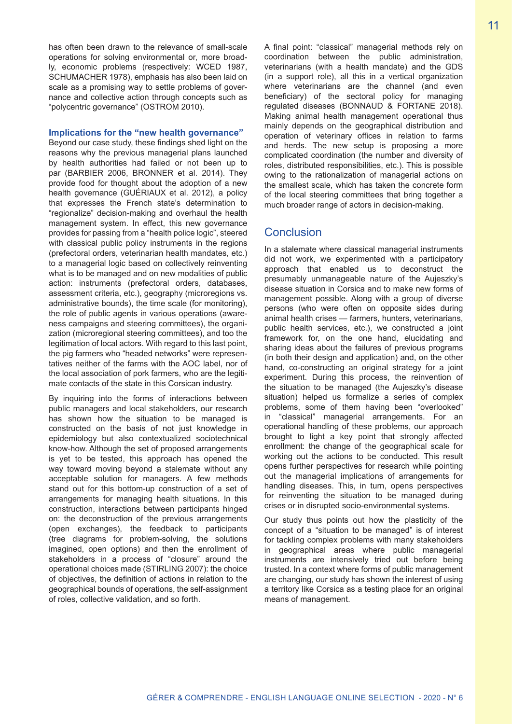has often been drawn to the relevance of small-scale operations for solving environmental or, more broadly, economic problems (respectively: WCED 1987, SCHUMACHER 1978), emphasis has also been laid on scale as a promising way to settle problems of governance and collective action through concepts such as "polycentric governance" (OSTROM 2010).

#### **Implications for the "new health governance"**

Beyond our case study, these findings shed light on the reasons why the previous managerial plans launched by health authorities had failed or not been up to par (BARBIER 2006, BRONNER et al. 2014). They provide food for thought about the adoption of a new health governance (GUÉRIAUX et al. 2012), a policy that expresses the French state's determination to "regionalize" decision-making and overhaul the health management system. In effect, this new governance provides for passing from a "health police logic", steered with classical public policy instruments in the regions (prefectoral orders, veterinarian health mandates, etc.) to a managerial logic based on collectively reinventing what is to be managed and on new modalities of public action: instruments (prefectoral orders, databases, assessment criteria, etc.), geography (microregions vs. administrative bounds), the time scale (for monitoring), the role of public agents in various operations (awareness campaigns and steering committees), the organization (microregional steering committees), and too the legitimation of local actors. With regard to this last point, the pig farmers who "headed networks" were representatives neither of the farms with the AOC label, nor of the local association of pork farmers, who are the legitimate contacts of the state in this Corsican industry.

By inquiring into the forms of interactions between public managers and local stakeholders, our research has shown how the situation to be managed is constructed on the basis of not just knowledge in epidemiology but also contextualized sociotechnical know-how. Although the set of proposed arrangements is yet to be tested, this approach has opened the way toward moving beyond a stalemate without any acceptable solution for managers. A few methods stand out for this bottom-up construction of a set of arrangements for managing health situations. In this construction, interactions between participants hinged on: the deconstruction of the previous arrangements (open exchanges), the feedback to participants (tree diagrams for problem-solving, the solutions imagined, open options) and then the enrollment of stakeholders in a process of "closure" around the operational choices made (STIRLING 2007): the choice of objectives, the definition of actions in relation to the geographical bounds of operations, the self-assignment of roles, collective validation, and so forth.

A final point: "classical" managerial methods rely on coordination between the public administration, veterinarians (with a health mandate) and the GDS (in a support role), all this in a vertical organization where veterinarians are the channel (and even beneficiary) of the sectoral policy for managing regulated diseases (BONNAUD & FORTANE 2018). Making animal health management operational thus mainly depends on the geographical distribution and operation of veterinary offices in relation to farms and herds. The new setup is proposing a more complicated coordination (the number and diversity of roles, distributed responsibilities, etc.). This is possible owing to the rationalization of managerial actions on the smallest scale, which has taken the concrete form of the local steering committees that bring together a much broader range of actors in decision-making.

## Conclusion

In a stalemate where classical managerial instruments did not work, we experimented with a participatory approach that enabled us to deconstruct the presumably unmanageable nature of the Aujeszky's disease situation in Corsica and to make new forms of management possible. Along with a group of diverse persons (who were often on opposite sides during animal health crises — farmers, hunters, veterinarians, public health services, etc.), we constructed a joint framework for, on the one hand, elucidating and sharing ideas about the failures of previous programs (in both their design and application) and, on the other hand, co-constructing an original strategy for a joint experiment. During this process, the reinvention of the situation to be managed (the Aujeszky's disease situation) helped us formalize a series of complex problems, some of them having been "overlooked" in "classical" managerial arrangements. For an operational handling of these problems, our approach brought to light a key point that strongly affected enrollment: the change of the geographical scale for working out the actions to be conducted. This result opens further perspectives for research while pointing out the managerial implications of arrangements for handling diseases. This, in turn, opens perspectives for reinventing the situation to be managed during crises or in disrupted socio-environmental systems.

Our study thus points out how the plasticity of the concept of a "situation to be managed" is of interest for tackling complex problems with many stakeholders in geographical areas where public managerial instruments are intensively tried out before being trusted. In a context where forms of public management are changing, our study has shown the interest of using a territory like Corsica as a testing place for an original means of management.